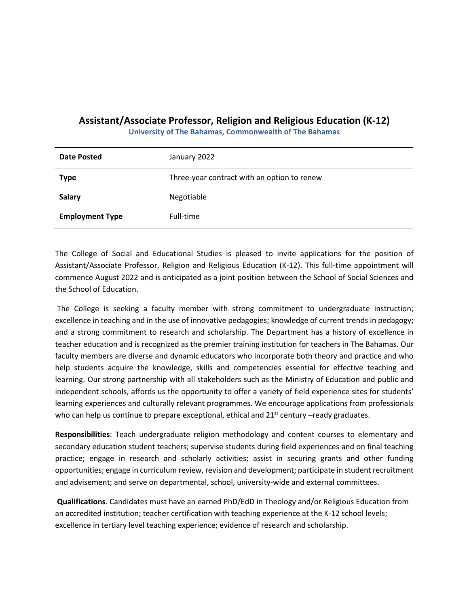## **Assistant/Associate Professor, Religion and Religious Education (K-12)**

**University of The Bahamas, Commonwealth of The Bahamas**

| <b>Date Posted</b>     | January 2022                                |
|------------------------|---------------------------------------------|
| <b>Type</b>            | Three-year contract with an option to renew |
| <b>Salary</b>          | Negotiable                                  |
| <b>Employment Type</b> | Full-time                                   |

The College of Social and Educational Studies is pleased to invite applications for the position of Assistant/Associate Professor, Religion and Religious Education (K-12). This full-time appointment will commence August 2022 and is anticipated as a joint position between the School of Social Sciences and the School of Education.

The College is seeking a faculty member with strong commitment to undergraduate instruction; excellence in teaching and in the use of innovative pedagogies; knowledge of current trends in pedagogy; and a strong commitment to research and scholarship. The Department has a history of excellence in teacher education and is recognized as the premier training institution for teachers in The Bahamas. Our faculty members are diverse and dynamic educators who incorporate both theory and practice and who help students acquire the knowledge, skills and competencies essential for effective teaching and learning. Our strong partnership with all stakeholders such as the Ministry of Education and public and independent schools, affords us the opportunity to offer a variety of field experience sites for students' learning experiences and culturally relevant programmes. We encourage applications from professionals who can help us continue to prepare exceptional, ethical and  $21^{st}$  century –ready graduates.

**Responsibilities**: Teach undergraduate religion methodology and content courses to elementary and secondary education student teachers; supervise students during field experiences and on final teaching practice; engage in research and scholarly activities; assist in securing grants and other funding opportunities; engage in curriculum review, revision and development; participate in student recruitment and advisement; and serve on departmental, school, university-wide and external committees.

**Qualifications**. Candidates must have an earned PhD/EdD in Theology and/or Religious Education from an accredited institution; teacher certification with teaching experience at the K-12 school levels; excellence in tertiary level teaching experience; evidence of research and scholarship.